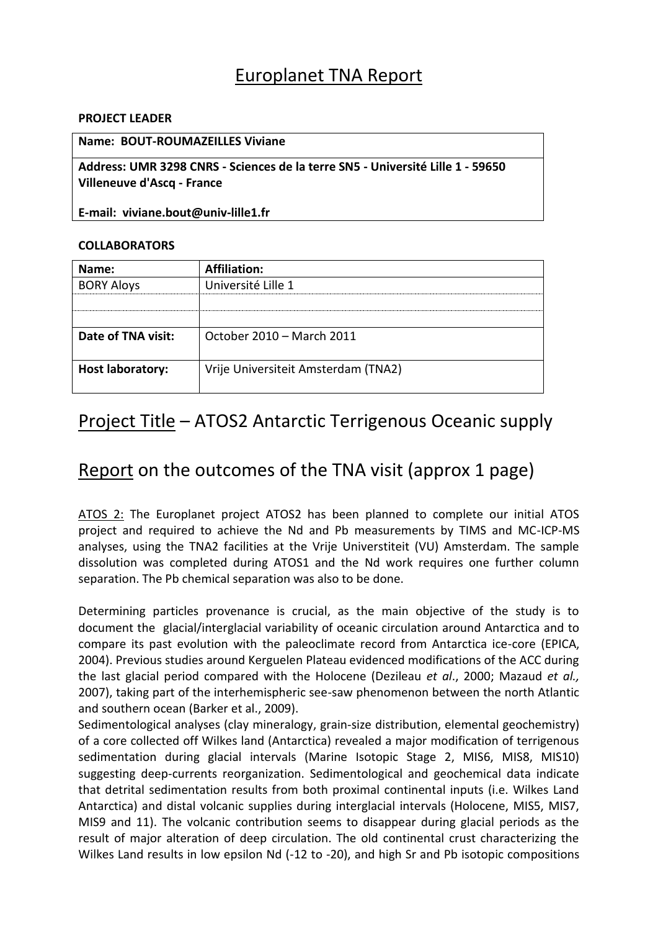### Europlanet TNA Report

#### **PROJECT LEADER**

#### **Name: BOUT-ROUMAZEILLES Viviane**

**Address: UMR 3298 CNRS - Sciences de la terre SN5 - Université Lille 1 - 59650 Villeneuve d'Ascq - France**

**E-mail: viviane.bout@univ-lille1.fr**

#### **COLLABORATORS**

| Name:              | <b>Affiliation:</b>                 |
|--------------------|-------------------------------------|
| <b>BORY Aloys</b>  | Université Lille 1                  |
|                    |                                     |
|                    |                                     |
| Date of TNA visit: | October 2010 – March 2011           |
|                    |                                     |
| Host laboratory:   | Vrije Universiteit Amsterdam (TNA2) |
|                    |                                     |

### Project Title – ATOS2 Antarctic Terrigenous Oceanic supply

## Report on the outcomes of the TNA visit (approx 1 page)

ATOS 2: The Europlanet project ATOS2 has been planned to complete our initial ATOS project and required to achieve the Nd and Pb measurements by TIMS and MC-ICP-MS analyses, using the TNA2 facilities at the Vrije Universtiteit (VU) Amsterdam. The sample dissolution was completed during ATOS1 and the Nd work requires one further column separation. The Pb chemical separation was also to be done.

Determining particles provenance is crucial, as the main objective of the study is to document the glacial/interglacial variability of oceanic circulation around Antarctica and to compare its past evolution with the paleoclimate record from Antarctica ice-core (EPICA, 2004). Previous studies around Kerguelen Plateau evidenced modifications of the ACC during the last glacial period compared with the Holocene (Dezileau *et al*., 2000; Mazaud *et al.,* 2007), taking part of the interhemispheric see-saw phenomenon between the north Atlantic and southern ocean (Barker et al., 2009).

Sedimentological analyses (clay mineralogy, grain-size distribution, elemental geochemistry) of a core collected off Wilkes land (Antarctica) revealed a major modification of terrigenous sedimentation during glacial intervals (Marine Isotopic Stage 2, MIS6, MIS8, MIS10) suggesting deep-currents reorganization. Sedimentological and geochemical data indicate that detrital sedimentation results from both proximal continental inputs (i.e. Wilkes Land Antarctica) and distal volcanic supplies during interglacial intervals (Holocene, MIS5, MIS7, MIS9 and 11). The volcanic contribution seems to disappear during glacial periods as the result of major alteration of deep circulation. The old continental crust characterizing the Wilkes Land results in low epsilon Nd (-12 to -20), and high Sr and Pb isotopic compositions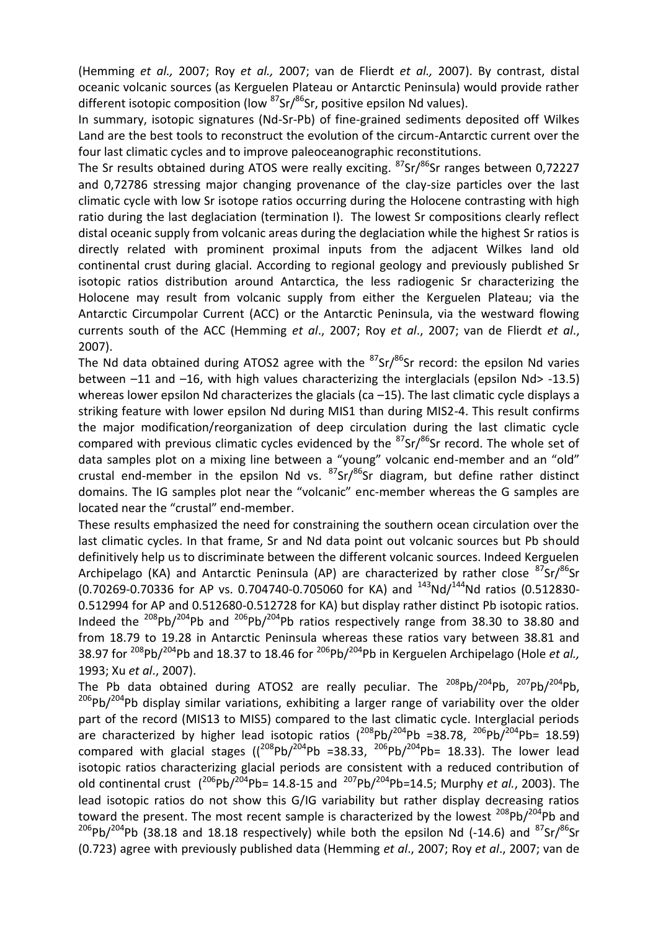(Hemming *et al.,* 2007; Roy *et al.,* 2007; van de Flierdt *et al.,* 2007). By contrast, distal oceanic volcanic sources (as Kerguelen Plateau or Antarctic Peninsula) would provide rather different isotopic composition (low  ${}^{87}Sr/{}^{86}Sr$ , positive epsilon Nd values).

In summary, isotopic signatures (Nd-Sr-Pb) of fine-grained sediments deposited off Wilkes Land are the best tools to reconstruct the evolution of the circum-Antarctic current over the four last climatic cycles and to improve paleoceanographic reconstitutions.

The Sr results obtained during ATOS were really exciting.  $87$ Sr $/86$ Sr ranges between 0,72227 and 0,72786 stressing major changing provenance of the clay-size particles over the last climatic cycle with low Sr isotope ratios occurring during the Holocene contrasting with high ratio during the last deglaciation (termination I). The lowest Sr compositions clearly reflect distal oceanic supply from volcanic areas during the deglaciation while the highest Sr ratios is directly related with prominent proximal inputs from the adjacent Wilkes land old continental crust during glacial. According to regional geology and previously published Sr isotopic ratios distribution around Antarctica, the less radiogenic Sr characterizing the Holocene may result from volcanic supply from either the Kerguelen Plateau; via the Antarctic Circumpolar Current (ACC) or the Antarctic Peninsula, via the westward flowing currents south of the ACC (Hemming *et al*., 2007; Roy *et al*., 2007; van de Flierdt *et al*., 2007).

The Nd data obtained during ATOS2 agree with the  ${}^{87}Sr/{}^{86}Sr$  record: the epsilon Nd varies between –11 and –16, with high values characterizing the interglacials (epsilon Nd> -13.5) whereas lower epsilon Nd characterizes the glacials (ca -15). The last climatic cycle displays a striking feature with lower epsilon Nd during MIS1 than during MIS2-4. This result confirms the major modification/reorganization of deep circulation during the last climatic cycle compared with previous climatic cycles evidenced by the  $87$ Sr $/86$ Sr record. The whole set of data samples plot on a mixing line between a "young" volcanic end-member and an "old" crustal end-member in the epsilon Nd vs.  $87$ Sr $/86$ Sr diagram, but define rather distinct domains. The IG samples plot near the "volcanic" enc-member whereas the G samples are located near the "crustal" end-member.

These results emphasized the need for constraining the southern ocean circulation over the last climatic cycles. In that frame, Sr and Nd data point out volcanic sources but Pb should definitively help us to discriminate between the different volcanic sources. Indeed Kerguelen Archipelago (KA) and Antarctic Peninsula (AP) are characterized by rather close  ${}^{87}Sr/{}^{86}Sr$  $(0.70269 - 0.70336$  for AP vs. 0.704740-0.705060 for KA) and  $^{143}$ Nd/ $^{144}$ Nd ratios (0.512830-0.512994 for AP and 0.512680-0.512728 for KA) but display rather distinct Pb isotopic ratios. Indeed the  $^{208}Pb/^{204}Pb$  and  $^{206}Pb/^{204}Pb$  ratios respectively range from 38.30 to 38.80 and from 18.79 to 19.28 in Antarctic Peninsula whereas these ratios vary between 38.81 and 38.97 for  $^{208}$ Pb/<sup>204</sup>Pb and 18.37 to 18.46 for  $^{206}$ Pb/<sup>204</sup>Pb in Kerguelen Archipelago (Hole *et al.,* 1993; Xu *et al*., 2007).

The Pb data obtained during ATOS2 are really peculiar. The  $^{208}Pb/^{204}Pb$ ,  $^{207}Pb/^{204}Pb$ ,  $206Pb/204Pb$  display similar variations, exhibiting a larger range of variability over the older part of the record (MIS13 to MIS5) compared to the last climatic cycle. Interglacial periods are characterized by higher lead isotopic ratios  $(^{208}Pb/^{204}Pb = 38.78, ^{206}Pb/^{204}Pb = 18.59)$ compared with glacial stages  $((208Pb)^{204}Pb = 38.33, 206Pb)^{204}Pb = 18.33$ ). The lower lead isotopic ratios characterizing glacial periods are consistent with a reduced contribution of old continental crust  $(^{206}Pb/^{204}Pb= 14.8-15$  and  $^{207}Pb/^{204}Pb=14.5$ ; Murphy *et al.*, 2003). The lead isotopic ratios do not show this G/IG variability but rather display decreasing ratios toward the present. The most recent sample is characterized by the lowest  $^{208}Pb/^{204}Pb$  and  $^{206}$ Pb/<sup>204</sup>Pb (38.18 and 18.18 respectively) while both the epsilon Nd (-14.6) and  $^{87}$ Sr/ $^{86}$ Sr (0.723) agree with previously published data (Hemming *et al*., 2007; Roy *et al*., 2007; van de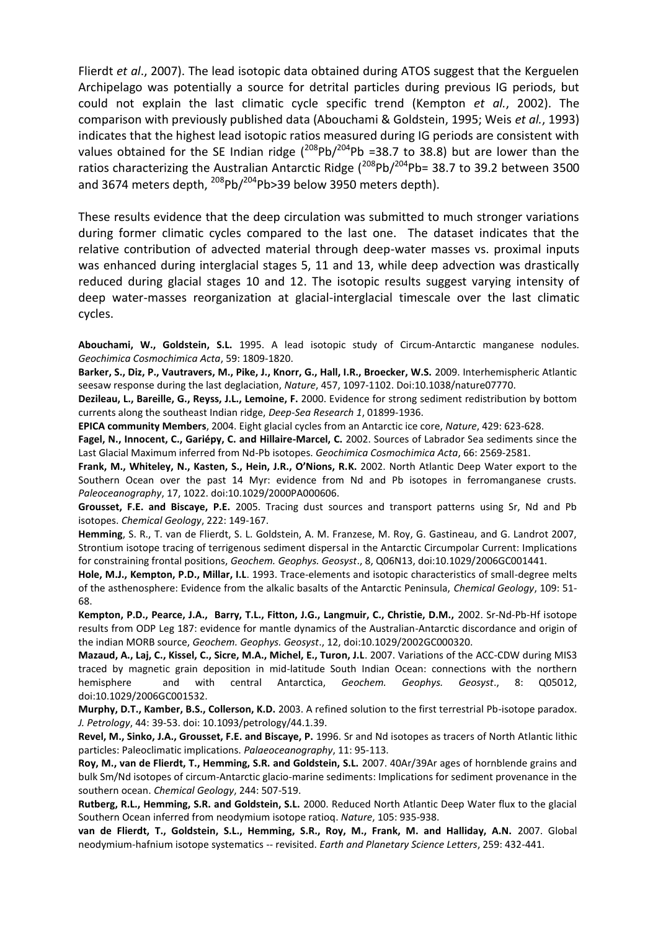Flierdt *et al*., 2007). The lead isotopic data obtained during ATOS suggest that the Kerguelen Archipelago was potentially a source for detrital particles during previous IG periods, but could not explain the last climatic cycle specific trend (Kempton *et al.*, 2002). The comparison with previously published data (Abouchami & Goldstein, 1995; Weis *et al.*, 1993) indicates that the highest lead isotopic ratios measured during IG periods are consistent with values obtained for the SE Indian ridge  $(^{208}Pb/^{204}Pb = 38.7$  to 38.8) but are lower than the ratios characterizing the Australian Antarctic Ridge  $(208Pb)^{204}$ Pb= 38.7 to 39.2 between 3500 and 3674 meters depth,  $^{208}Pb/^{204}Pb>39$  below 3950 meters depth).

These results evidence that the deep circulation was submitted to much stronger variations during former climatic cycles compared to the last one. The dataset indicates that the relative contribution of advected material through deep-water masses vs. proximal inputs was enhanced during interglacial stages 5, 11 and 13, while deep advection was drastically reduced during glacial stages 10 and 12. The isotopic results suggest varying intensity of deep water-masses reorganization at glacial-interglacial timescale over the last climatic cycles.

**Abouchami, W., Goldstein, S.L.** 1995. A lead isotopic study of Circum-Antarctic manganese nodules. *Geochimica Cosmochimica Acta*, 59: 1809-1820.

**Barker, S., Diz, P., Vautravers, M., Pike, J., Knorr, G., Hall, I.R., Broecker, W.S.** 2009. Interhemispheric Atlantic seesaw response during the last deglaciation, *Nature*, 457, 1097-1102. Doi:10.1038/nature07770.

**Dezileau, L., Bareille, G., Reyss, J.L., Lemoine, F.** 2000. Evidence for strong sediment redistribution by bottom currents along the southeast Indian ridge, *Deep-Sea Research 1*, 01899-1936.

**EPICA community Members**, 2004. Eight glacial cycles from an Antarctic ice core, *Nature*, 429: 623-628.

**Fagel, N., Innocent, C., Gariépy, C. and Hillaire-Marcel, C.** 2002. Sources of Labrador Sea sediments since the Last Glacial Maximum inferred from Nd-Pb isotopes. *Geochimica Cosmochimica Acta*, 66: 2569-2581.

**Frank, M., Whiteley, N., Kasten, S., Hein, J.R., O'Nions, R.K.** 2002. North Atlantic Deep Water export to the Southern Ocean over the past 14 Myr: evidence from Nd and Pb isotopes in ferromanganese crusts. *Paleoceanography*, 17, 1022. doi:10.1029/2000PA000606.

**Grousset, F.E. and Biscaye, P.E.** 2005. Tracing dust sources and transport patterns using Sr, Nd and Pb isotopes. *Chemical Geology*, 222: 149-167.

**Hemming**, S. R., T. van de Flierdt, S. L. Goldstein, A. M. Franzese, M. Roy, G. Gastineau, and G. Landrot 2007, Strontium isotope tracing of terrigenous sediment dispersal in the Antarctic Circumpolar Current: Implications for constraining frontal positions, *Geochem. Geophys. Geosyst*., 8, Q06N13, doi:10.1029/2006GC001441.

**Hole, M.J., Kempton, P.D., Millar, I.L**. 1993. Trace-elements and isotopic characteristics of small-degree melts of the asthenosphere: Evidence from the alkalic basalts of the Antarctic Peninsula, *Chemical Geology*, 109: 51- 68.

**Kempton, P.D., Pearce, J.A., Barry, T.L., Fitton, J.G., Langmuir, C., Christie, D.M.,** 2002. Sr-Nd-Pb-Hf isotope results from ODP Leg 187: evidence for mantle dynamics of the Australian-Antarctic discordance and origin of the indian MORB source, *Geochem. Geophys. Geosyst*., 12, doi:10.1029/2002GC000320.

**Mazaud, A., Laj, C., Kissel, C., Sicre, M.A., Michel, E., Turon, J.L**. 2007. Variations of the ACC-CDW during MIS3 traced by magnetic grain deposition in mid-latitude South Indian Ocean: connections with the northern hemisphere and with central Antarctica, *Geochem. Geophys. Geosyst*., 8: Q05012, doi:10.1029/2006GC001532.

**Murphy, D.T., Kamber, B.S., Collerson, K.D.** 2003. A refined solution to the first terrestrial Pb-isotope paradox. *J. Petrology*, 44: 39-53. doi: 10.1093/petrology/44.1.39.

**Revel, M., Sinko, J.A., Grousset, F.E. and Biscaye, P.** 1996. Sr and Nd isotopes as tracers of North Atlantic lithic particles: Paleoclimatic implications. *Palaeoceanography*, 11: 95-113.

**Roy, M., van de Flierdt, T., Hemming, S.R. and Goldstein, S.L.** 2007. 40Ar/39Ar ages of hornblende grains and bulk Sm/Nd isotopes of circum-Antarctic glacio-marine sediments: Implications for sediment provenance in the southern ocean. *Chemical Geology*, 244: 507-519.

**Rutberg, R.L., Hemming, S.R. and Goldstein, S.L.** 2000. Reduced North Atlantic Deep Water flux to the glacial Southern Ocean inferred from neodymium isotope ratioq. *Nature*, 105: 935-938.

**van de Flierdt, T., Goldstein, S.L., Hemming, S.R., Roy, M., Frank, M. and Halliday, A.N.** 2007. Global neodymium-hafnium isotope systematics -- revisited. *Earth and Planetary Science Letters*, 259: 432-441.